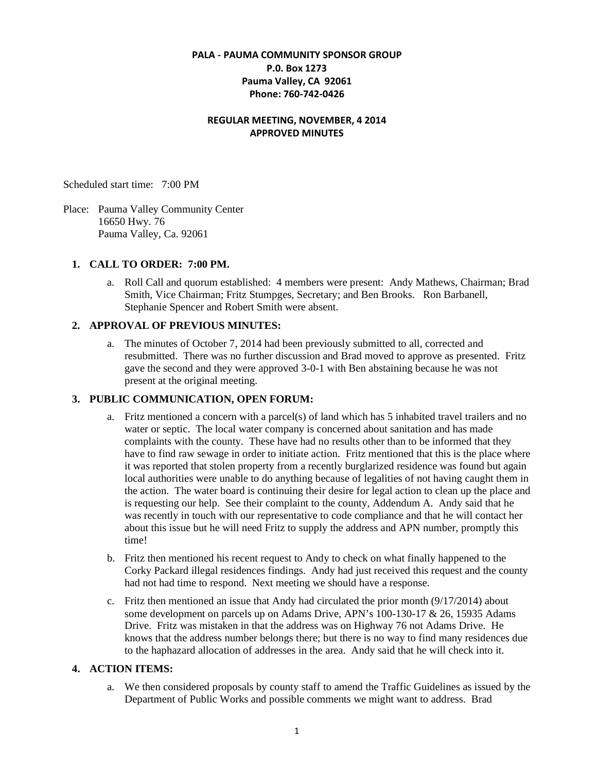#### **PALA - PAUMA COMMUNITY SPONSOR GROUP P.0. Box 1273 Pauma Valley, CA 92061 Phone: 760-742-0426**

#### **REGULAR MEETING, NOVEMBER, 4 2014 APPROVED MINUTES**

Scheduled start time: 7:00 PM

Place: Pauma Valley Community Center 16650 Hwy. 76 Pauma Valley, Ca. 92061

#### **1. CALL TO ORDER: 7:00 PM.**

a. Roll Call and quorum established: 4 members were present: Andy Mathews, Chairman; Brad Smith, Vice Chairman; Fritz Stumpges, Secretary; and Ben Brooks. Ron Barbanell, Stephanie Spencer and Robert Smith were absent.

#### **2. APPROVAL OF PREVIOUS MINUTES:**

a. The minutes of October 7, 2014 had been previously submitted to all, corrected and resubmitted. There was no further discussion and Brad moved to approve as presented. Fritz gave the second and they were approved 3-0-1 with Ben abstaining because he was not present at the original meeting.

### **3. PUBLIC COMMUNICATION, OPEN FORUM:**

- a. Fritz mentioned a concern with a parcel(s) of land which has 5 inhabited travel trailers and no water or septic. The local water company is concerned about sanitation and has made complaints with the county. These have had no results other than to be informed that they have to find raw sewage in order to initiate action. Fritz mentioned that this is the place where it was reported that stolen property from a recently burglarized residence was found but again local authorities were unable to do anything because of legalities of not having caught them in the action. The water board is continuing their desire for legal action to clean up the place and is requesting our help. See their complaint to the county, Addendum A. Andy said that he was recently in touch with our representative to code compliance and that he will contact her about this issue but he will need Fritz to supply the address and APN number, promptly this time!
- b. Fritz then mentioned his recent request to Andy to check on what finally happened to the Corky Packard illegal residences findings. Andy had just received this request and the county had not had time to respond. Next meeting we should have a response.
- c. Fritz then mentioned an issue that Andy had circulated the prior month (9/17/2014) about some development on parcels up on Adams Drive, APN's 100-130-17 & 26, 15935 Adams Drive. Fritz was mistaken in that the address was on Highway 76 not Adams Drive. He knows that the address number belongs there; but there is no way to find many residences due to the haphazard allocation of addresses in the area. Andy said that he will check into it.

#### **4. ACTION ITEMS:**

a. We then considered proposals by county staff to amend the Traffic Guidelines as issued by the Department of Public Works and possible comments we might want to address. Brad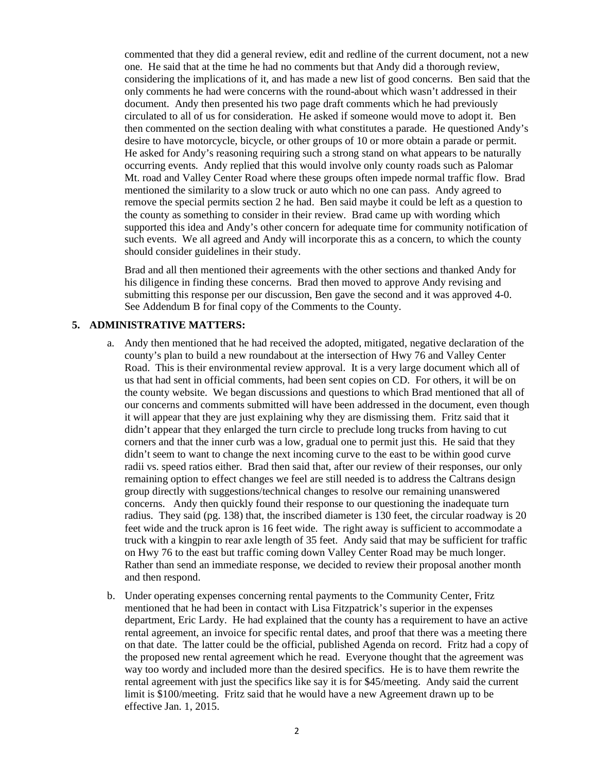commented that they did a general review, edit and redline of the current document, not a new one. He said that at the time he had no comments but that Andy did a thorough review, considering the implications of it, and has made a new list of good concerns. Ben said that the only comments he had were concerns with the round-about which wasn't addressed in their document. Andy then presented his two page draft comments which he had previously circulated to all of us for consideration. He asked if someone would move to adopt it. Ben then commented on the section dealing with what constitutes a parade. He questioned Andy's desire to have motorcycle, bicycle, or other groups of 10 or more obtain a parade or permit. He asked for Andy's reasoning requiring such a strong stand on what appears to be naturally occurring events. Andy replied that this would involve only county roads such as Palomar Mt. road and Valley Center Road where these groups often impede normal traffic flow. Brad mentioned the similarity to a slow truck or auto which no one can pass. Andy agreed to remove the special permits section 2 he had. Ben said maybe it could be left as a question to the county as something to consider in their review. Brad came up with wording which supported this idea and Andy's other concern for adequate time for community notification of such events. We all agreed and Andy will incorporate this as a concern, to which the county should consider guidelines in their study.

Brad and all then mentioned their agreements with the other sections and thanked Andy for his diligence in finding these concerns. Brad then moved to approve Andy revising and submitting this response per our discussion, Ben gave the second and it was approved 4-0. See Addendum B for final copy of the Comments to the County.

#### **5. ADMINISTRATIVE MATTERS:**

- a. Andy then mentioned that he had received the adopted, mitigated, negative declaration of the county's plan to build a new roundabout at the intersection of Hwy 76 and Valley Center Road. This is their environmental review approval. It is a very large document which all of us that had sent in official comments, had been sent copies on CD. For others, it will be on the county website. We began discussions and questions to which Brad mentioned that all of our concerns and comments submitted will have been addressed in the document, even though it will appear that they are just explaining why they are dismissing them. Fritz said that it didn't appear that they enlarged the turn circle to preclude long trucks from having to cut corners and that the inner curb was a low, gradual one to permit just this. He said that they didn't seem to want to change the next incoming curve to the east to be within good curve radii vs. speed ratios either. Brad then said that, after our review of their responses, our only remaining option to effect changes we feel are still needed is to address the Caltrans design group directly with suggestions/technical changes to resolve our remaining unanswered concerns. Andy then quickly found their response to our questioning the inadequate turn radius. They said (pg. 138) that, the inscribed diameter is 130 feet, the circular roadway is 20 feet wide and the truck apron is 16 feet wide. The right away is sufficient to accommodate a truck with a kingpin to rear axle length of 35 feet. Andy said that may be sufficient for traffic on Hwy 76 to the east but traffic coming down Valley Center Road may be much longer. Rather than send an immediate response, we decided to review their proposal another month and then respond.
- b. Under operating expenses concerning rental payments to the Community Center, Fritz mentioned that he had been in contact with Lisa Fitzpatrick's superior in the expenses department, Eric Lardy. He had explained that the county has a requirement to have an active rental agreement, an invoice for specific rental dates, and proof that there was a meeting there on that date. The latter could be the official, published Agenda on record. Fritz had a copy of the proposed new rental agreement which he read. Everyone thought that the agreement was way too wordy and included more than the desired specifics. He is to have them rewrite the rental agreement with just the specifics like say it is for \$45/meeting. Andy said the current limit is \$100/meeting. Fritz said that he would have a new Agreement drawn up to be effective Jan. 1, 2015.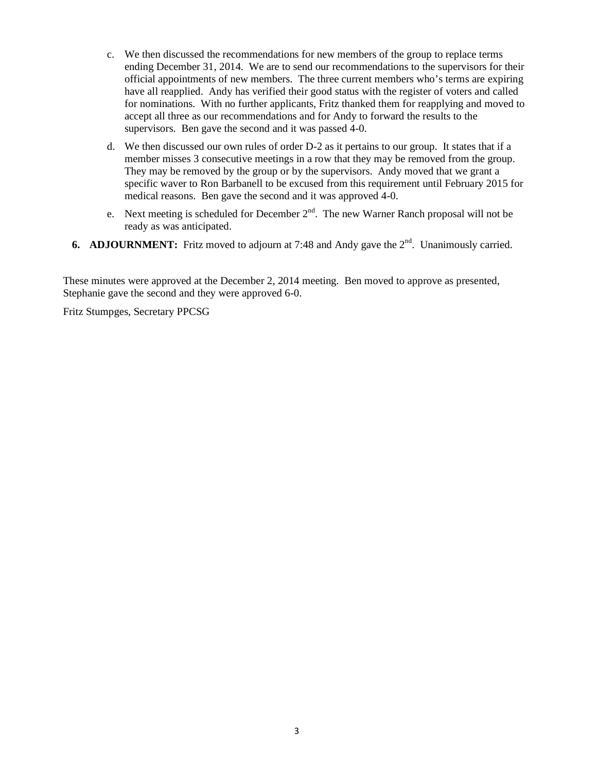- c. We then discussed the recommendations for new members of the group to replace terms ending December 31, 2014. We are to send our recommendations to the supervisors for their official appointments of new members. The three current members who's terms are expiring have all reapplied. Andy has verified their good status with the register of voters and called for nominations. With no further applicants, Fritz thanked them for reapplying and moved to accept all three as our recommendations and for Andy to forward the results to the supervisors. Ben gave the second and it was passed 4-0.
- d. We then discussed our own rules of order D-2 as it pertains to our group. It states that if a member misses 3 consecutive meetings in a row that they may be removed from the group. They may be removed by the group or by the supervisors. Andy moved that we grant a specific waver to Ron Barbanell to be excused from this requirement until February 2015 for medical reasons. Ben gave the second and it was approved 4-0.
- e. Next meeting is scheduled for December  $2<sup>nd</sup>$ . The new Warner Ranch proposal will not be ready as was anticipated.
- **6. ADJOURNMENT:** Fritz moved to adjourn at 7:48 and Andy gave the 2<sup>nd</sup>. Unanimously carried.

These minutes were approved at the December 2, 2014 meeting. Ben moved to approve as presented, Stephanie gave the second and they were approved 6-0.

Fritz Stumpges, Secretary PPCSG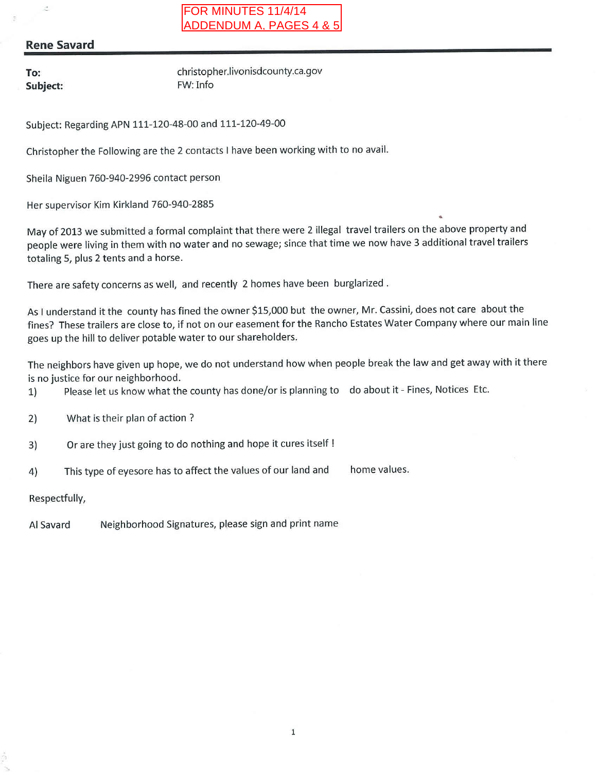## **Rene Savard**

To: Subject:

ż

christopher.livonisdcounty.ca.gov FW: Info

Subject: Regarding APN 111-120-48-00 and 111-120-49-00

Christopher the Following are the 2 contacts I have been working with to no avail.

Sheila Niguen 760-940-2996 contact person

Her supervisor Kim Kirkland 760-940-2885

May of 2013 we submitted a formal complaint that there were 2 illegal travel trailers on the above property and people were living in them with no water and no sewage; since that time we now have 3 additional travel trailers totaling 5, plus 2 tents and a horse.

There are safety concerns as well, and recently 2 homes have been burglarized.

As I understand it the county has fined the owner \$15,000 but the owner, Mr. Cassini, does not care about the fines? These trailers are close to, if not on our easement for the Rancho Estates Water Company where our main line goes up the hill to deliver potable water to our shareholders.

The neighbors have given up hope, we do not understand how when people break the law and get away with it there is no justice for our neighborhood.

- Please let us know what the county has done/or is planning to do about it Fines, Notices Etc. 1)
- What is their plan of action?  $2)$
- Or are they just going to do nothing and hope it cures itself !  $3)$
- This type of eyesore has to affect the values of our land and home values.  $4)$

Respectfully,

Neighborhood Signatures, please sign and print name Al Savard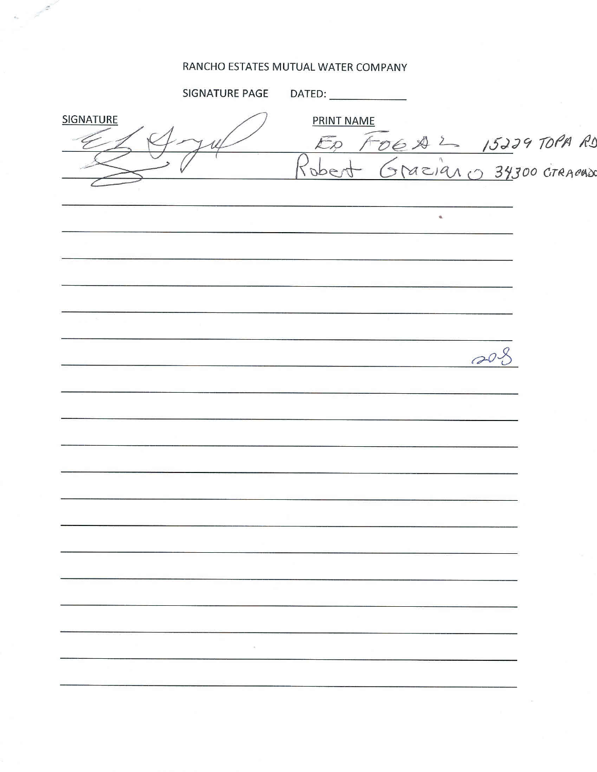## RANCHO ESTATES MUTUAL WATER COMPANY

 $\vec{s}_{\infty}$ 

|                  | SIGNATURE PAGE |                        |
|------------------|----------------|------------------------|
| <b>SIGNATURE</b> |                | PRINT NAME             |
|                  |                | ED FOGAL 15229 TOPA RI |
|                  |                |                        |
|                  |                | $\mathbf{q}_i$         |
|                  |                |                        |
|                  |                |                        |
|                  |                |                        |
|                  |                |                        |
|                  |                |                        |
|                  |                |                        |
|                  |                |                        |
|                  |                |                        |
|                  |                |                        |
|                  |                |                        |
|                  |                |                        |
|                  |                |                        |
|                  |                |                        |
|                  |                |                        |
|                  |                |                        |
|                  |                |                        |
|                  |                |                        |
|                  |                |                        |
|                  |                |                        |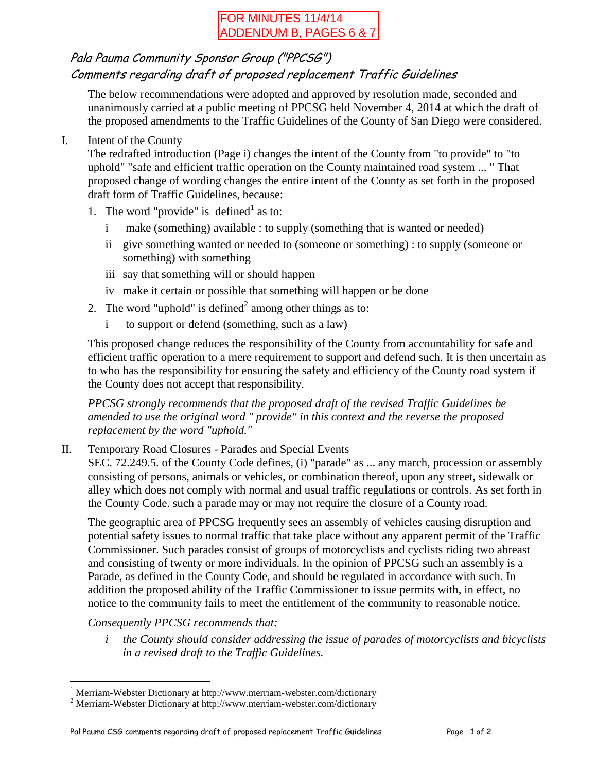# FOR MINUTES 11/4/14 ADDENDUM B, PAGES 6 & 7

# Pala Pauma Community Sponsor Group ("PPCSG") Comments regarding draft of proposed replacement Traffic Guidelines

The below recommendations were adopted and approved by resolution made, seconded and unanimously carried at a public meeting of PPCSG held November 4, 2014 at which the draft of the proposed amendments to the Traffic Guidelines of the County of San Diego were considered.

I. Intent of the County

The redrafted introduction (Page i) changes the intent of the County from "to provide" to "to uphold" "safe and efficient traffic operation on the County maintained road system ... " That proposed change of wording changes the entire intent of the County as set forth in the proposed draft form of Traffic Guidelines, because:

- 1. The word "provide" is defined<sup>1</sup> as to:
	- i make (something) available : to supply (something that is wanted or needed)
	- ii give something wanted or needed to (someone or something) : to supply (someone or something) with something
	- iii say that something will or should happen
	- iv make it certain or possible that something will happen or be done
- 2. The word "uphold" is defined<sup>2</sup> among other things as to:
	- i to support or defend (something, such as a law)

This proposed change reduces the responsibility of the County from accountability for safe and efficient traffic operation to a mere requirement to support and defend such. It is then uncertain as to who has the responsibility for ensuring the safety and efficiency of the County road system if the County does not accept that responsibility.

*PPCSG strongly recommends that the proposed draft of the revised Traffic Guidelines be amended to use the original word " provide" in this context and the reverse the proposed replacement by the word "uphold."*

II. Temporary Road Closures - Parades and Special Events

SEC. 72.249.5. of the County Code defines, (i) "parade" as ... any march, procession or assembly consisting of persons, animals or vehicles, or combination thereof, upon any street, sidewalk or alley which does not comply with normal and usual traffic regulations or controls. As set forth in the County Code. such a parade may or may not require the closure of a County road.

The geographic area of PPCSG frequently sees an assembly of vehicles causing disruption and potential safety issues to normal traffic that take place without any apparent permit of the Traffic Commissioner. Such parades consist of groups of motorcyclists and cyclists riding two abreast and consisting of twenty or more individuals. In the opinion of PPCSG such an assembly is a Parade, as defined in the County Code, and should be regulated in accordance with such. In addition the proposed ability of the Traffic Commissioner to issue permits with, in effect, no notice to the community fails to meet the entitlement of the community to reasonable notice.

## *Consequently PPCSG recommends that:*

 $\overline{a}$ 

*i the County should consider addressing the issue of parades of motorcyclists and bicyclists in a revised draft to the Traffic Guidelines.*

<sup>&</sup>lt;sup>1</sup> Merriam-Webster Dictionary at http://www.merriam-webster.com/dictionary

<sup>2</sup> Merriam-Webster Dictionary at http://www.merriam-webster.com/dictionary